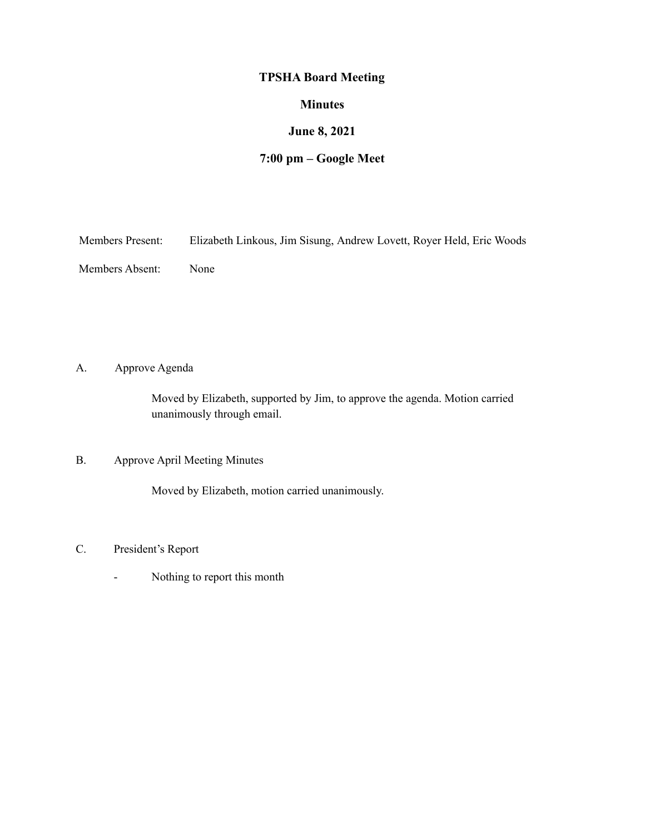# **TPSHA Board Meeting**

#### **Minutes**

## **June 8, 2021**

# **7:00 pm – Google Meet**

| <b>Members Present:</b> |  | Elizabeth Linkous, Jim Sisung, Andrew Lovett, Royer Held, Eric Woods |
|-------------------------|--|----------------------------------------------------------------------|
|                         |  |                                                                      |

Members Absent: None

A. Approve Agenda

Moved by Elizabeth, supported by Jim, to approve the agenda. Motion carried unanimously through email.

### B. Approve April Meeting Minutes

Moved by Elizabeth, motion carried unanimously.

- C. President's Report
	- Nothing to report this month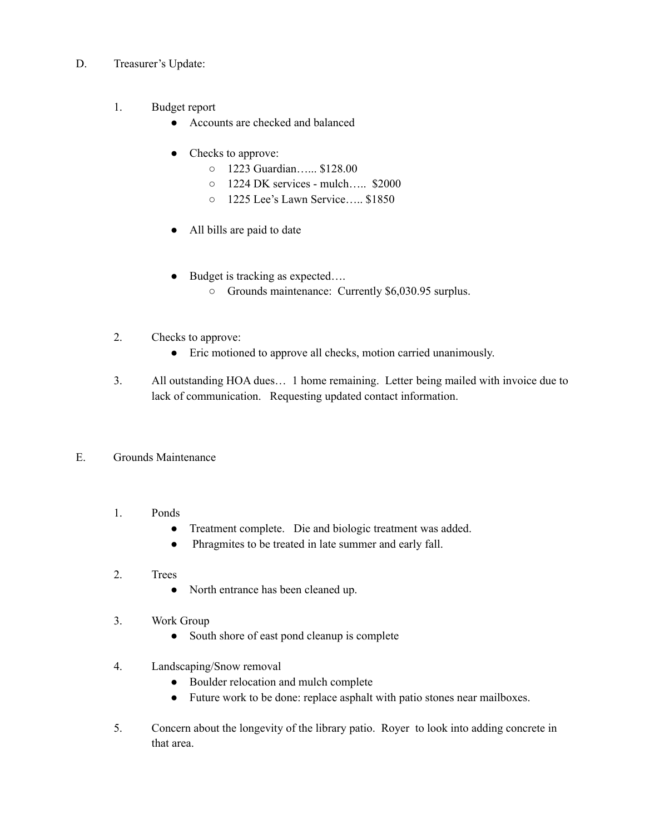- D. Treasurer's Update:
	- 1. Budget report
		- Accounts are checked and balanced
		- Checks to approve:
			- 1223 Guardian…... \$128.00
			- 1224 DK services mulch….. \$2000
			- 1225 Lee's Lawn Service….. \$1850
		- All bills are paid to date
		- Budget is tracking as expected….
			- Grounds maintenance: Currently \$6,030.95 surplus.
	- 2. Checks to approve:
		- Eric motioned to approve all checks, motion carried unanimously.
	- 3. All outstanding HOA dues… 1 home remaining. Letter being mailed with invoice due to lack of communication. Requesting updated contact information.
- E. Grounds Maintenance
	- 1. Ponds
		- Treatment complete. Die and biologic treatment was added.
		- Phragmites to be treated in late summer and early fall.
	- 2. Trees
		- North entrance has been cleaned up.
	- 3. Work Group
		- South shore of east pond cleanup is complete
	- 4. Landscaping/Snow removal
		- Boulder relocation and mulch complete
		- Future work to be done: replace asphalt with patio stones near mailboxes.
	- 5. Concern about the longevity of the library patio. Royer to look into adding concrete in that area.